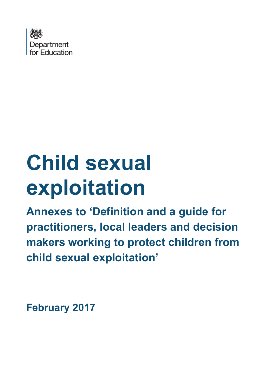

# **Child sexual exploitation**

**Annexes to 'Definition and a guide for practitioners, local leaders and decision makers working to protect children from child sexual exploitation'**

**February 2017**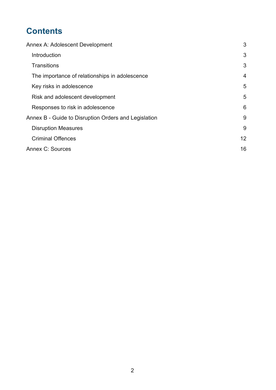# **Contents**

| Annex A: Adolescent Development                      | 3              |
|------------------------------------------------------|----------------|
| Introduction                                         | 3              |
| <b>Transitions</b>                                   | 3              |
| The importance of relationships in adolescence       | $\overline{4}$ |
| Key risks in adolescence                             | 5              |
| Risk and adolescent development                      | 5              |
| Responses to risk in adolescence                     | 6              |
| Annex B - Guide to Disruption Orders and Legislation | 9              |
| <b>Disruption Measures</b>                           | 9              |
| <b>Criminal Offences</b>                             | 12             |
| Annex C: Sources                                     | 16             |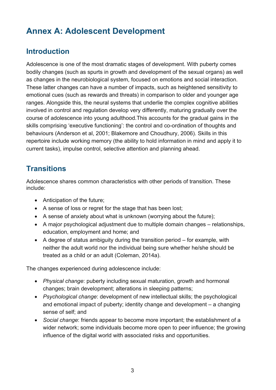# <span id="page-2-0"></span>**Annex A: Adolescent Development**

## <span id="page-2-1"></span>**Introduction**

Adolescence is one of the most dramatic stages of development. With puberty comes bodily changes (such as spurts in growth and development of the sexual organs) as well as changes in the neurobiological system, focused on emotions and social interaction. These latter changes can have a number of impacts, such as heightened sensitivity to emotional cues (such as rewards and threats) in comparison to older and younger age ranges. Alongside this, the neural systems that underlie the complex cognitive abilities involved in control and regulation develop very differently, maturing gradually over the course of adolescence into young adulthood.This accounts for the gradual gains in the skills comprising 'executive functioning': the control and co-ordination of thoughts and behaviours (Anderson et al, 2001; Blakemore and Choudhury, 2006). Skills in this repertoire include working memory (the ability to hold information in mind and apply it to current tasks), impulse control, selective attention and planning ahead.

## <span id="page-2-2"></span>**Transitions**

Adolescence shares common characteristics with other periods of transition. These include:

- Anticipation of the future;
- A sense of loss or regret for the stage that has been lost;
- A sense of anxiety about what is unknown (worrying about the future);
- A major psychological adjustment due to multiple domain changes relationships, education, employment and home; and
- A degree of status ambiguity during the transition period for example, with neither the adult world nor the individual being sure whether he/she should be treated as a child or an adult (Coleman, 2014a).

The changes experienced during adolescence include:

- *Physical change*: puberty including sexual maturation, growth and hormonal changes; brain development; alterations in sleeping patterns;
- *Psychological change*: development of new intellectual skills; the psychological and emotional impact of puberty; identity change and development – a changing sense of self; and
- <span id="page-2-3"></span>• *Social change*: friends appear to become more important; the establishment of a wider network; some individuals become more open to peer influence; the growing influence of the digital world with associated risks and opportunities.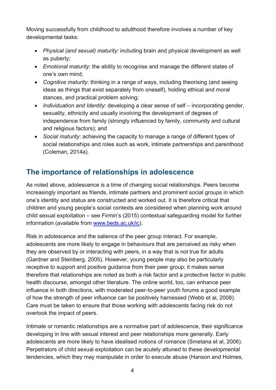Moving successfully from childhood to adulthood therefore involves a number of key developmental tasks:

- *Physical (and sexual) maturity*: including brain and physical development as well as puberty;
- *Emotional maturity*: the ability to recognise and manage the different states of one's own mind;
- *Cognitive maturity*: thinking in a range of ways, including theorising (and seeing ideas as things that exist separately from oneself), holding ethical and moral stances, and practical problem solving;
- *Individuation and Identity*: developing a clear sense of self incorporating gender, sexuality, ethnicity and usually involving the development of degrees of independence from family (strongly influenced by family, community and cultural and religious factors); and
- *Social maturity*: achieving the capacity to manage a range of different types of social relationships and roles such as work, intimate partnerships and parenthood (Coleman, 2014a).

## <span id="page-3-0"></span>**The importance of relationships in adolescence**

As noted above, adolescence is a time of changing social relationships. Peers become increasingly important as friends, intimate partners and prominent social groups in which one's identity and status are constructed and worked out. It is therefore critical that children and young people's social contexts are considered when planning work around child sexual exploitation – see Firmin's (2015) contextual safeguarding model for further information (available from [www.beds.ac.uk/ic\)](http://www.beds.ac.uk/ic).

Risk in adolescence and the salience of the peer group interact. For example, adolescents are more likely to engage in behaviours that are perceived as risky when they are observed by or interacting with peers, in a way that is not true for adults (Gardner and Steinberg, 2005). However, young people may also be particularly receptive to support and positive guidance from their peer group; it makes sense therefore that relationships are noted as both a risk factor and a protective factor in public health discourse, amongst other literature. The online world, too, can enhance peer influence in both directions, with moderated peer-to-peer youth forums a good example of how the strength of peer influence can be positively harnessed (Webb et al, 2008). Care must be taken to ensure that those working with adolescents facing risk do not overlook the impact of peers.

Intimate or romantic relationships are a normative part of adolescence, their significance developing in line with sexual interest and peer relationships more generally. Early adolescents are more likely to have idealised notions of romance (Smetana et al, 2006). Perpetrators of child sexual exploitation can be acutely attuned to these developmental tendencies, which they may manipulate in order to execute abuse (Hanson and Holmes,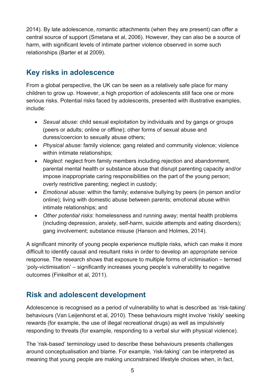2014). By late adolescence, romantic attachments (when they are present) can offer a central source of support (Smetana et al, 2006). However, they can also be a source of harm, with significant levels of intimate partner violence observed in some such relationships (Barter et al 2009).

## <span id="page-4-0"></span>**Key risks in adolescence**

From a global perspective, the UK can be seen as a relatively safe place for many children to grow up. However, a high proportion of adolescents still face one or more serious risks. Potential risks faced by adolescents, presented with illustrative examples, include:

- *Sexual abuse*: child sexual exploitation by individuals and by gangs or groups (peers or adults; online or offline); other forms of sexual abuse and duress/coercion to sexually abuse others;
- *Physical abuse*: family violence; gang related and community violence; violence within intimate relationships;
- *Neglect*: neglect from family members including rejection and abandonment, parental mental health or substance abuse that disrupt parenting capacity and/or impose inappropriate caring responsibilities on the part of the young person; overly restrictive parenting; neglect in custody;
- *Emotional abuse*: within the family; extensive bullying by peers (in person and/or online); living with domestic abuse between parents; emotional abuse within intimate relationships; and
- *Other potential risks*: homelessness and running away; mental health problems (including depression, anxiety, self-harm, suicide attempts and eating disorders); gang involvement; substance misuse (Hanson and Holmes, 2014).

A significant minority of young people experience multiple risks, which can make it more difficult to identify causal and resultant risks in order to develop an appropriate service response. The research shows that exposure to multiple forms of victimisation – termed 'poly-victimisation' – significantly increases young people's vulnerability to negative outcomes (Finkelhor et al, 2011).

## <span id="page-4-1"></span>**Risk and adolescent development**

Adolescence is recognised as a period of vulnerability to what is described as 'risk-taking' behaviours (Van Leijenhorst et al, 2010). These behaviours might involve 'riskily' seeking rewards (for example, the use of illegal recreational drugs) as well as impulsively responding to threats (for example, responding to a verbal slur with physical violence).

The 'risk-based' terminology used to describe these behaviours presents challenges around conceptualisation and blame. For example, 'risk-taking' can be interpreted as meaning that young people are making unconstrained lifestyle choices when, in fact,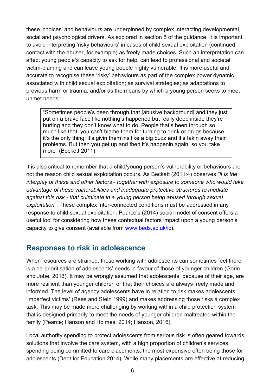these 'choices' and behaviours are underpinned by complex interacting developmental, social and psychological drivers. As explored in section 5 of the guidance, it is important to avoid interpreting 'risky behaviours' in cases of child sexual exploitation (continued contact with the abuser, for example) as freely made choices. Such an interpretation can affect young people's capacity to ask for help, can lead to professional and societal victim-blaming and can leave young people highly vulnerable. It is more useful and accurate to recognise these 'risky' behaviours as part of the complex power dynamic associated with child sexual exploitation; as survival strategies; as adaptations to previous harm or trauma; and/or as the means by which a young person seeks to meet unmet needs:

"Sometimes people's been through that [abusive background] and they just put on a brave face like nothing's happened but really deep inside they're hurting and they don't know what to do. People that's been through so much like that, you can't blame them for turning to drink or drugs because it's the only thing; it's givin them'ins like a big buzz and it's takin away their problems. But then you get up and then it's happenin again, so you take more" (Beckett 2011)

It is also critical to remember that a child/young person's vulnerability or behaviours are not the reason child sexual exploitation occurs. As Beckett (2011:4) observes *"it is the interplay of these and other factors - together with exposure to someone who would take advantage of these vulnerabilities and inadequate protective structures to mediate against this risk - that culminate in a young person being abused through sexual exploitation*". These complex inter-connected conditions must be addressed in any response to child sexual exploitation. Pearce's (2014) social model of consent offers a useful tool for considering how these contextual factors impact upon a young person's capacity to give consent (available from [www.beds.ac.uk/ic\)](http://www.beds.ac.uk/ic).

## <span id="page-5-0"></span>**Responses to risk in adolescence**

When resources are strained, those working with adolescents can sometimes feel there is a de-prioritisation of adolescents' needs in favour of those of younger children (Gorin and Jobe, 2013). It may be wrongly assumed that adolescents, because of their age, are more resilient than younger children or that their choices are always freely made and informed. The level of agency adolescents have in relation to risk makes adolescents 'imperfect victims' (Rees and Stein 1999) and makes addressing those risks a complex task. This may be made more challenging by working within a child protection system that is designed primarily to meet the needs of younger children maltreated within the family (Pearce; Hanson and Holmes, 2014; Hanson, 2016).

Local authority spending to protect adolescents from serious risk is often geared towards solutions that involve the care system, with a high proportion of children's services spending being committed to care placements, the most expensive often being those for adolescents (Dept for Education 2014). While many placements are effective at reducing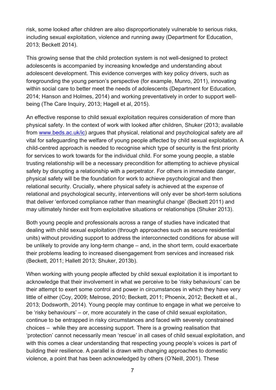risk, some looked after children are also disproportionately vulnerable to serious risks, including sexual exploitation, violence and running away (Department for Education, 2013; Beckett 2014).

This growing sense that the child protection system is not well-designed to protect adolescents is accompanied by increasing knowledge and understanding about adolescent development. This evidence converges with key policy drivers, such as foregrounding the young person's perspective (for example, Munro, 2011), innovating within social care to better meet the needs of adolescents (Department for Education, 2014; Hanson and Holmes, 2014) and working preventatively in order to support wellbeing (The Care Inquiry, 2013; Hagell et al, 2015).

An effective response to child sexual exploitation requires consideration of more than physical safety. In the context of work with looked after children, Shuker (2013; available from [www.beds.ac.uk/ic\)](http://www.beds.ac.uk/ic) argues that physical, relational and psychological safety are *all* vital for safeguarding the welfare of young people affected by child sexual exploitation. A child-centred approach is needed to recognise which type of security is the first priority for services to work towards for the individual child. For some young people, a stable trusting relationship will be a necessary precondition for attempting to achieve physical safety by disrupting a relationship with a perpetrator. For others in immediate danger, physical safety will be the foundation for work to achieve psychological and then relational security. Crucially, where physical safety is achieved at the *expense* of relational and psychological security, interventions will only ever be short-term solutions that deliver 'enforced compliance rather than meaningful change' (Beckett 2011) and may ultimately hinder exit from exploitative situations or relationships (Shuker 2013).

Both young people and professionals across a range of studies have indicated that dealing with child sexual exploitation (through approaches such as secure residential units) without providing support to address the interconnected conditions for abuse will be unlikely to provide any long-term change – and, in the short term, could exacerbate their problems leading to increased disengagement from services and increased risk (Beckett, 2011; Hallett 2013; Shuker, 2013b).

When working with young people affected by child sexual exploitation it is important to acknowledge that their involvement in what we perceive to be 'risky behaviours' can be their attempt to exert some control and power in circumstances in which they have very little of either (Coy, 2009; Melrose, 2010; Beckett, 2011; Phoenix, 2012; Beckett et al., 2013; Dodsworth, 2014). Young people may continue to engage in what we perceive to be 'risky behaviours' – or, more accurately in the case of child sexual exploitation, continue to be entrapped in risky circumstances and faced with severely constrained choices – while they are accessing support. There is a growing realisation that 'protection' cannot necessarily mean 'rescue' in all cases of child sexual exploitation, and with this comes a clear understanding that respecting young people's voices is part of building their resilience. A parallel is drawn with changing approaches to domestic violence, a point that has been acknowledged by others (O'Neill, 2001). These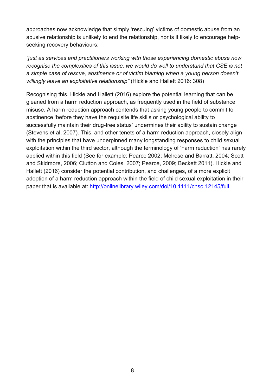approaches now acknowledge that simply 'rescuing' victims of domestic abuse from an abusive relationship is unlikely to end the relationship, nor is it likely to encourage helpseeking recovery behaviours:

*"just as services and practitioners working with those experiencing domestic abuse now recognise the complexities of this issue, we would do well to understand that CSE is not a simple case of rescue, abstinence or of victim blaming when a young person doesn't willingly leave an exploitative relationship"* (Hickle and Hallett 2016: 308)

Recognising this, Hickle and Hallett (2016) explore the potential learning that can be gleaned from a harm reduction approach, as frequently used in the field of substance misuse. A harm reduction approach contends that asking young people to commit to abstinence 'before they have the requisite life skills or psychological ability to successfully maintain their drug-free status' undermines their ability to sustain change (Stevens et al, 2007). This, and other tenets of a harm reduction approach, closely align with the principles that have underpinned many longstanding responses to child sexual exploitation within the third sector, although the terminology of 'harm reduction' has rarely applied within this field (See for example: Pearce 2002; Melrose and Barratt, 2004; Scott and Skidmore, 2006; Clutton and Coles, 2007; Pearce, 2009; Beckett 2011). Hickle and Hallett (2016) consider the potential contribution, and challenges, of a more explicit adoption of a harm reduction approach within the field of child sexual exploitation in their paper that is available at:<http://onlinelibrary.wiley.com/doi/10.1111/chso.12145/full>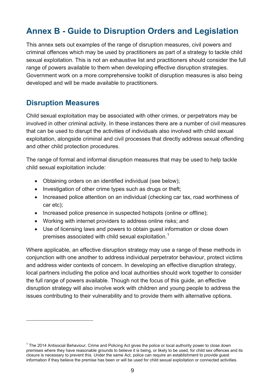# <span id="page-8-0"></span>**Annex B - Guide to Disruption Orders and Legislation**

This annex sets out examples of the range of disruption measures, civil powers and criminal offences which may be used by practitioners as part of a strategy to tackle child sexual exploitation. This is not an exhaustive list and practitioners should consider the full range of powers available to them when developing effective disruption strategies. Government work on a more comprehensive toolkit of disruption measures is also being developed and will be made available to practitioners.

## <span id="page-8-1"></span>**Disruption Measures**

<span id="page-8-2"></span> $\overline{a}$ 

Child sexual exploitation may be associated with other crimes, or perpetrators may be involved in other criminal activity. In these instances there are a number of civil measures that can be used to disrupt the activities of individuals also involved with child sexual exploitation, alongside criminal and civil processes that directly address sexual offending and other child protection procedures.

The range of formal and informal disruption measures that may be used to help tackle child sexual exploitation include:

- Obtaining orders on an identified individual (see below);
- Investigation of other crime types such as drugs or theft;
- Increased police attention on an individual (checking car tax, road worthiness of car etc);
- Increased police presence in suspected hotspots (online or offline):
- Working with internet providers to address online risks; and
- Use of licensing laws and powers to obtain guest information or close down premises associated with child sexual exploitation.<sup>[1](#page-2-3)</sup>

Where applicable, an effective disruption strategy may use a range of these methods in conjunction with one another to address individual perpetrator behaviour, protect victims and address wider contexts of concern. In developing an effective disruption strategy, local partners including the police and local authorities should work together to consider the full range of powers available. Though not the focus of this guide, an effective disruption strategy will also involve work with children and young people to address the issues contributing to their vulnerability and to provide them with alternative options.

 $1$  The 2014 Antisocial Behaviour, Crime and Policing Act gives the police or local authority power to close down premises where they have reasonable grounds to believe it is being, or likely to be used, for child sex offences and its closure is necessary to prevent this. Under the same Act, police can require an establishment to provide guest information if they believe the premise has been or will be used for child sexual exploitation or connected activities.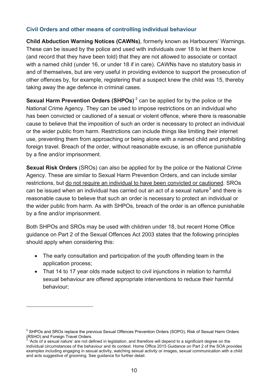#### **Civil Orders and other means of controlling individual behaviour**

**Child Abduction Warning Notices (CAWNs)**, formerly known as Harbourers' Warnings. These can be issued by the police and used with individuals over 18 to let them know (and record that they have been told) that they are not allowed to associate or contact with a named child (under 16, or under 18 if in care). CAWNs have no statutory basis in and of themselves, but are very useful in providing evidence to support the prosecution of other offences by, for example, registering that a suspect knew the child was 15, thereby taking away the age defence in criminal cases.

**Sexual Harm Prevention Orders (SHPOs)** <sup>[2](#page-8-2)</sup> can be applied for by the police or the National Crime Agency. They can be used to impose restrictions on an individual who has been convicted or cautioned of a sexual or violent offence, where there is reasonable cause to believe that the imposition of such an order is necessary to protect an individual or the wider public from harm. Restrictions can include things like limiting their internet use, preventing them from approaching or being alone with a named child and prohibiting foreign travel. Breach of the order, without reasonable excuse, is an offence punishable by a fine and/or imprisonment.

**Sexual Risk Orders** (SROs) can also be applied for by the police or the National Crime Agency. These are similar to Sexual Harm Prevention Orders, and can include similar restrictions, but do not require an individual to have been convicted or cautioned. SROs can be issued when an individual has carried out an act of a sexual nature<sup>[3](#page-9-0)</sup> and there is reasonable cause to believe that such an order is necessary to protect an individual or the wider public from harm. As with SHPOs, breach of the order is an offence punishable by a fine and/or imprisonment.

Both SHPOs and SROs may be used with children under 18, but recent Home Office guidance on Part 2 of the Sexual Offences Act 2003 states that the following principles should apply when considering this:

- The early consultation and participation of the youth offending team in the application process;
- That 14 to 17 year olds made subject to civil injunctions in relation to harmful sexual behaviour are offered appropriate interventions to reduce their harmful behaviour;

 $\overline{a}$ 

<span id="page-9-1"></span><sup>&</sup>lt;sup>2</sup> SHPOs and SROs replace the previous Sexual Offences Prevention Orders (SOPO), Risk of Sexual Harm Orders (RSHO) and Foreign Travel Orders.

<span id="page-9-0"></span><sup>&#</sup>x27;Acts of a sexual nature' are not defined in legislation, and therefore will depend to a significant degree on the individual circumstances of the behaviour and its context. Home Office 2015 Guidance on Part 2 of the SOA provides examples including engaging in sexual activity, watching sexual activity or images, sexual communication with a child and acts suggestive of grooming. See guidance for further detail.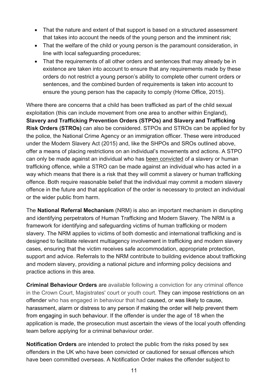- That the nature and extent of that support is based on a structured assessment that takes into account the needs of the young person and the imminent risk;
- That the welfare of the child or young person is the paramount consideration, in line with local safeguarding procedures;
- That the requirements of all other orders and sentences that may already be in existence are taken into account to ensure that any requirements made by these orders do not restrict a young person's ability to complete other current orders or sentences, and the combined burden of requirements is taken into account to ensure the young person has the capacity to comply (Home Office, 2015).

Where there are concerns that a child has been trafficked as part of the child sexual exploitation (this can include movement from one area to another within England), **Slavery and Trafficking Prevention Orders (STPOs) and Slavery and Trafficking Risk Orders (STROs)** can also be considered. STPOs and STROs can be applied for by the police, the National Crime Agency or an immigration officer. These were introduced under the Modern Slavery Act (2015) and, like the SHPOs and SROs outlined above, offer a means of placing restrictions on an individual's movements and actions. A STPO can only be made against an individual who has been convicted of a slavery or human trafficking offence, while a STRO can be made against an individual who has acted in a way which means that there is a risk that they will commit a slavery or human trafficking offence. Both require reasonable belief that the individual may commit a modern slavery offence in the future and that application of the order is necessary to protect an individual or the wider public from harm.

The **National Referral Mechanism** (NRM) is also an important mechanism in disrupting and identifying perpetrators of Human Trafficking and Modern Slavery. The NRM is a framework for identifying and safeguarding victims of human trafficking or modern slavery. The NRM applies to victims of both domestic and international trafficking and is designed to facilitate relevant multiagency involvement in trafficking and modern slavery cases, ensuring that the victim receives safe accommodation, appropriate protection, support and advice. Referrals to the NRM contribute to building evidence about trafficking and modern slavery, providing a national picture and informing policy decisions and practice actions in this area.

**Criminal Behaviour Orders** are available following a conviction for any criminal offence in the Crown Court, Magistrates' court or youth court. They can impose restrictions on an offender who has engaged in behaviour that had caused, or was likely to cause, harassment, alarm or distress to any person if making the order will help prevent them from engaging in such behaviour. If the offender is under the age of 18 when the application is made, the prosecution must ascertain the views of the local youth offending team before applying for a criminal behaviour order.

**Notification Orders** are intended to protect the public from the risks posed by sex offenders in the UK who have been convicted or cautioned for sexual offences which have been committed overseas. A Notification Order makes the offender subject to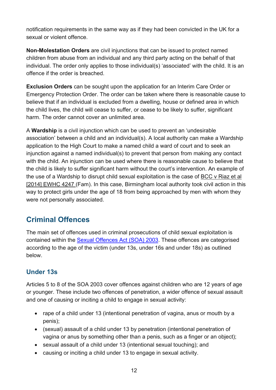notification requirements in the same way as if they had been convicted in the UK for a sexual or violent offence.

**Non-Molestation Orders** are civil injunctions that can be issued to protect named children from abuse from an individual and any third party acting on the behalf of that individual. The order only applies to those individual(s) 'associated' with the child. It is an offence if the order is breached.

**Exclusion Orders** can be sought upon the application for an Interim Care Order or Emergency Protection Order. The order can be taken where there is reasonable cause to believe that if an individual is excluded from a dwelling, house or defined area in which the child lives, the child will cease to suffer, or cease to be likely to suffer, significant harm. The order cannot cover an unlimited area.

A **Wardship** is a civil injunction which can be used to prevent an 'undesirable association' between a child and an individual(s). A local authority can make a Wardship application to the High Court to make a named child a ward of court and to seek an injunction against a named individual(s) to prevent that person from making any contact with the child. An injunction can be used where there is reasonable cause to believe that the child is likely to suffer significant harm without the court's intervention. An example of the use of a Wardship to disrupt child sexual exploitation is the case of BCC v Riaz et al [2014] EWHC 4247 (Fam). In this case, Birmingham local authority took civil action in this way to protect girls under the age of 18 from being approached by men with whom they were not personally associated.

## <span id="page-11-0"></span>**Criminal Offences**

The main set of offences used in criminal prosecutions of child sexual exploitation is contained within the [Sexual Offences Act \(SOA\) 2003.](http://www.legislation.gov.uk/ukpga/2003/42/contents) These offences are categorised according to the age of the victim (under 13s, under 16s and under 18s) as outlined below.

### **Under 13s**

Articles 5 to 8 of the SOA 2003 cover offences against children who are 12 years of age or younger. These include two offences of penetration, a wider offence of sexual assault and one of causing or inciting a child to engage in sexual activity:

- rape of a child under 13 (intentional penetration of vagina, anus or mouth by a penis);
- (sexual) assault of a child under 13 by penetration (intentional penetration of vagina or anus by something other than a penis, such as a finger or an object);
- sexual assault of a child under 13 (intentional sexual touching); and
- causing or inciting a child under 13 to engage in sexual activity.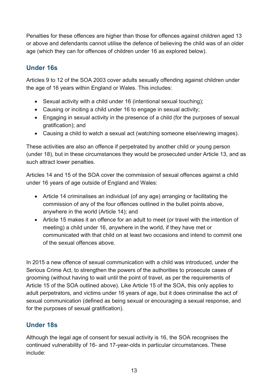Penalties for these offences are higher than those for offences against children aged 13 or above and defendants cannot utilise the defence of believing the child was of an older age (which they can for offences of children under 16 as explored below).

## **Under 16s**

Articles 9 to 12 of the SOA 2003 cover adults sexually offending against children under the age of 16 years within England or Wales. This includes:

- Sexual activity with a child under 16 (intentional sexual touching);
- Causing or inciting a child under 16 to engage in sexual activity;
- Engaging in sexual activity in the presence of a child (for the purposes of sexual gratification); and
- Causing a child to watch a sexual act (watching someone else/viewing images).

These activities are also an offence if perpetrated by another child or young person (under 18), but in these circumstances they would be prosecuted under Article 13, and as such attract lower penalties.

Articles 14 and 15 of the SOA cover the commission of sexual offences against a child under 16 years of age outside of England and Wales:

- Article 14 criminalises an individual (of any age) arranging or facilitating the commission of any of the four offences outlined in the bullet points above, anywhere in the world (Article 14); and
- Article 15 makes it an offence for an adult to meet (or travel with the intention of meeting) a child under 16, anywhere in the world, if they have met or communicated with that child on at least two occasions and intend to commit one of the sexual offences above.

In 2015 a new offence of sexual communication with a child was introduced, under the Serious Crime Act, to strengthen the powers of the authorities to prosecute cases of grooming (without having to wait until the point of travel, as per the requirements of Article 15 of the SOA outlined above). Like Article 15 of the SOA, this only applies to adult perpetrators, and victims under 16 years of age, but it does criminalise the act of sexual communication (defined as being sexual or encouraging a sexual response, and for the purposes of sexual gratification).

## **Under 18s**

Although the legal age of consent for sexual activity is 16, the SOA recognises the continued vulnerability of 16- and 17-year-olds in particular circumstances. These include: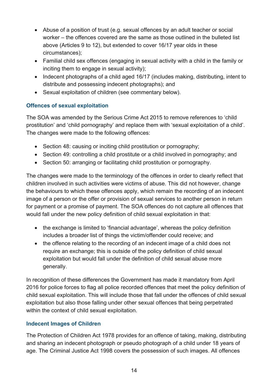- Abuse of a position of trust (e.g. sexual offences by an adult teacher or social worker – the offences covered are the same as those outlined in the bulleted list above (Articles 9 to 12), but extended to cover 16/17 year olds in these circumstances);
- Familial child sex offences (engaging in sexual activity with a child in the family or inciting them to engage in sexual activity);
- Indecent photographs of a child aged 16/17 (includes making, distributing, intent to distribute and possessing indecent photographs); and
- Sexual exploitation of children (see commentary below).

#### **Offences of sexual exploitation**

The SOA was amended by the Serious Crime Act 2015 to remove references to 'child prostitution' and 'child pornography' and replace them with 'sexual exploitation of a child'. The changes were made to the following offences:

- Section 48: causing or inciting child prostitution or pornography;
- Section 49: controlling a child prostitute or a child involved in pornography; and
- Section 50: arranging or facilitating child prostitution or pornography.

The changes were made to the terminology of the offences in order to clearly reflect that children involved in such activities were victims of abuse. This did not however, change the behaviours to which these offences apply, which remain the recording of an indecent image of a person or the offer or provision of sexual services to another person in return for payment or a promise of payment. The SOA offences do not capture all offences that would fall under the new policy definition of child sexual exploitation in that:

- the exchange is limited to 'financial advantage', whereas the policy definition includes a broader list of things the victim/offender could receive; and
- the offence relating to the recording of an indecent image of a child does not require an exchange; this is outside of the policy definition of child sexual exploitation but would fall under the definition of child sexual abuse more generally.

In recognition of these differences the Government has made it mandatory from April 2016 for police forces to flag all police recorded offences that meet the policy definition of child sexual exploitation. This will include those that fall under the offences of child sexual exploitation but also those falling under other sexual offences that being perpetrated within the context of child sexual exploitation.

#### **Indecent Images of Children**

The Protection of Children Act 1978 provides for an offence of taking, making, distributing and sharing an indecent photograph or pseudo photograph of a child under 18 years of age. The Criminal Justice Act 1998 covers the possession of such images. All offences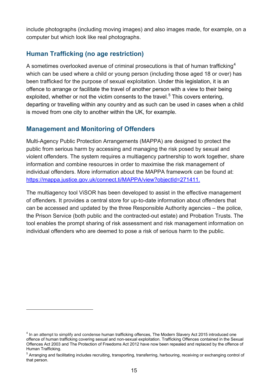include photographs (including moving images) and also images made, for example, on a computer but which look like real photographs.

## **Human Trafficking (no age restriction)**

A sometimes overlooked avenue of criminal prosecutions is that of human trafficking<sup>[4](#page-9-1)</sup> which can be used where a child or young person (including those aged 18 or over) has been trafficked for the purpose of sexual exploitation. Under this legislation, it is an offence to arrange or facilitate the travel of another person with a view to their being exploited, whether or not the victim consents to the travel.<sup>[5](#page-14-0)</sup> This covers entering, departing or travelling within any country and as such can be used in cases when a child is moved from one city to another within the UK, for example.

#### **Management and Monitoring of Offenders**

 $\overline{a}$ 

Multi-Agency Public Protection Arrangements (MAPPA) are designed to protect the public from serious harm by accessing and managing the risk posed by sexual and violent offenders. The system requires a multiagency partnership to work together, share information and combine resources in order to maximise the risk management of individual offenders. More information about the MAPPA framework can be found at: [https://mappa.justice.gov.uk/connect.ti/MAPPA/view?objectId=271411.](https://mappa.justice.gov.uk/connect.ti/MAPPA/view?objectId=271411)

The multiagency tool ViSOR has been developed to assist in the effective management of offenders. It provides a central store for up-to-date information about offenders that can be accessed and updated by the three Responsible Authority agencies – the police, the Prison Service (both public and the contracted-out estate) and Probation Trusts. The tool enables the prompt sharing of risk assessment and risk management information on individual offenders who are deemed to pose a risk of serious harm to the public.

<sup>&</sup>lt;sup>4</sup> In an attempt to simplify and condense human trafficking offences, The Modern Slavery Act 2015 introduced one offence of human trafficking covering sexual and non-sexual exploitation. Trafficking Offences contained in the Sexual Offences Act 2003 and The Protection of Freedoms Act 2012 have now been repealed and replaced by the offence of Human Trafficking.

<span id="page-14-0"></span><sup>&</sup>lt;sup>5</sup> Arranging and facilitating includes recruiting, transporting, transferring, harbouring, receiving or exchanging control of that person.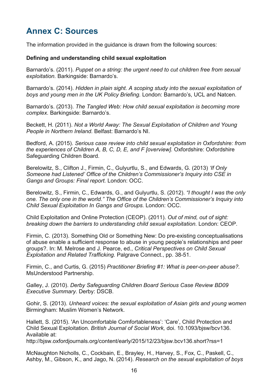# <span id="page-15-0"></span>**Annex C: Sources**

The information provided in the guidance is drawn from the following sources:

#### **Defining and understanding child sexual exploitation**

Barnardo's. (2011). *Puppet on a string: the urgent need to cut children free from sexual exploitation.* Barkingside: Barnardo's.

Barnardo's. (2014). *Hidden in plain sight. A scoping study into the sexual exploitation of boys and young men in the UK Policy Briefing.* London: Barnardo's, UCL and Natcen.

Barnardo's. (2013). *The Tangled Web: How child sexual exploitation is becoming more complex.* Barkingside: Barnardo's.

Beckett, H. (2011). *Not a World Away: The Sexual Exploitation of Children and Young People in Northern Ireland.* Belfast: Barnardo's NI.

Bedford, A. (2015). *Serious case review into child sexual exploitation in Oxfordshire: from the experiences of Children A, B, C, D, E, and F [overview].* Oxfordshire: Oxfordshire Safeguarding Children Board.

Berelowitz, S., Clifton J., Firmin, C., Gulyurtlu, S., and Edwards, G. (2013) *'If Only Someone had Listened' Office of the Children's Commissioner's Inquiry into CSE in Gangs and Groups: Final report.* London: OCC.

Berelowitz, S., Firmin, C., Edwards, G., and Gulyurtlu, S. (2012). *"I thought I was the only one. The only one in the world." The Office of the Children's Commissioner's Inquiry into Child Sexual Exploitation In Gangs and Groups.* London: OCC.

Child Exploitation and Online Protection (CEOP). (2011). *Out of mind, out of sight: breaking down the barriers to understanding child sexual exploitation.* London: CEOP.

Firmin, C. (2013). Something Old or Something New: Do pre-existing conceptualisations of abuse enable a sufficient response to abuse in young people's relationships and peer groups?. In: M. Melrose and J. Pearce, ed., *Critical Perspectives on Child Sexual Exploitation and Related Trafficking.* Palgrave Connect., pp. 38-51.

Firmin, C., and Curtis, G. (2015) *Practitioner Briefing #1: What is peer-on-peer abuse?.*  MsUnderstood Partnership.

Galley, J. (2010). *Derby Safeguarding Children Board Serious Case Review BD09 Executive Summary.* Derby: DSCB.

Gohir, S. (2013). *Unheard voices: the sexual exploitation of Asian girls and young women*  Birmingham: Muslim Women's Network.

Hallett, S. (2015). 'An Uncomfortable Comfortableness': 'Care', Child Protection and Child Sexual Exploitation. *British Journal of Social Work,* doi. 10.1093/bjsw/bcv136. Available at:

http://bjsw.oxfordjournals.org/content/early/2015/12/23/bjsw.bcv136.short?rss=1

McNaughton Nicholls, C., Cockbain, E., Brayley, H., Harvey, S., Fox, C., Paskell, C., Ashby, M., Gibson, K., and Jago, N. (2014). *Research on the sexual exploitation of boys*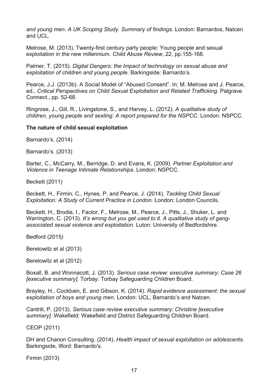*and young men. A UK Scoping Study. Summary of findings.* London: Barnardos, Natcen and UCL.

Melrose, M. (2013). Twenty-first century party people: Young people and sexual exploitation in the new millennium. *Child Abuse Review*, 22, pp.155-168.

Palmer, T. (2015). *Digital Dangers: the Impact of technology on sexual abuse and exploitation of children and young people.* Barkingside: Barnardo's.

Pearce, J.J. (2013b). A Social Model of "Abused Consent". In: M. Melrose and J. Pearce, ed., *Critical Perspectives on Child Sexual Exploitation and Related Trafficking.* Palgrave Connect., pp. 52-68.

Ringrose, J., Gill, R., Livingstone, S., and Harvey, L. (2012). *A qualitative study of children, young people and sexting: A report prepared for the NSPCC.* London: NSPCC.

#### **The nature of child sexual exploitation**

Barnardo's. (2014)

Barnardo's. (2013)

Barter, C., McCarry, M., Berridge, D. and Evans, K. (2009). *Partner Exploitation and Violence in Teenage Intimate Relationships.* London: NSPCC.

Beckett (2011)

Beckett, H., Firmin, C., Hynes, P. and Pearce, J. (2014). *Tackling Child Sexual Exploitation: A Study of Current Practice in London.* London: London Councils.

Beckett, H., Brodie, I., Factor, F., Melrose, M., Pearce, J., Pitts, J., Shuker, L. and Warrington, C. (2013). *It's wrong but you get used to it. A qualitative study of gangassociated sexual violence and exploitation.* Luton: University of Bedfordshire.

Bedford (2015*)*

Berelowitz et al (2013)

Berelowitz et al (2012)

Boxall, B. and Wonnacott, J. (2013). *Serious case review: executive summary: Case 26 [executive summary].* Torbay: Torbay Safeguarding Children Board.

Brayley, H., Cockbain, E. and Gibson, K. (2014). *Rapid evidence assessment: the sexual exploitation of boys and young men.* London: UCL, Barnardo's and Natcen.

Cantrill, P. (2013). *Serious case review executive summary: Christine [executive summary].* Wakefield: Wakefield and District Safeguarding Children Board.

CEOP (2011)

DH and Chanon Consulting. (2014). *Health impact of sexual exploitation on adolescents.* Barkingside, Ilford: Barnardo's.

Firmin (2013)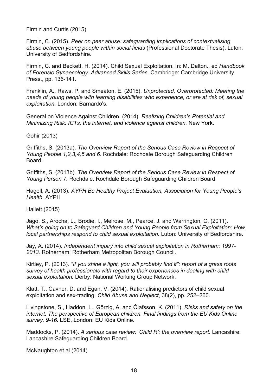Firmin and Curtis (2015)

Firmin, C. (2015). *Peer on peer abuse: safeguarding implications of contextualising abuse between young people within social fields* (Professional Doctorate Thesis). Luton: University of Bedfordshire.

Firmin, C. and Beckett, H. (2014). Child Sexual Exploitation. In: M. Dalton., ed *Handbook of Forensic Gynaecology. Advanced Skills Series.* Cambridge: Cambridge University Press., pp. 136-141.

Franklin, A., Raws, P. and Smeaton, E. (2015). *Unprotected, Overprotected: Meeting the needs of young people with learning disabilities who experience, or are at risk of, sexual exploitation.* London: Barnardo's.

General on Violence Against Children. (2014). *Realizing Children's Potential and Minimizing Risk: ICTs, the internet, and violence against children.* New York.

Gohir (2013)

Griffiths, S. (2013a). *The Overview Report of the Serious Case Review in Respect of Young People 1,2,3,4,5 and 6.* Rochdale: Rochdale Borough Safeguarding Children Board.

Griffiths, S. (2013b). *The Overview Report of the Serious Case Review in Respect of Young Person 7.* Rochdale: Rochdale Borough Safeguarding Children Board.

Hagell, A. (2013). *AYPH Be Healthy Project Evaluation, Association for Young People's Health.* AYPH

Hallett (2015)

Jago, S., Arocha, L., Brodie, I., Melrose, M., Pearce, J. and Warrington, C. (2011). *What's going on to Safeguard Children and Young People from Sexual Exploitation: How local partnerships respond to child sexual exploitation.* Luton: University of Bedfordshire.

Jay, A. (2014). *Independent inquiry into child sexual exploitation in Rotherham: 1997- 2013*. Rotherham: Rotherham Metropolitan Borough Council.

Kirtley, P. (2013). *"If you shine a light, you will probably find it": report of a grass roots survey of health professionals with regard to their experiences in dealing with child sexual exploitation.* Derby: National Working Group Network.

Klatt, T., Cavner, D. and Egan, V. (2014). Rationalising predictors of child sexual exploitation and sex-trading. *Child Abuse and Neglect*, 38(2), pp. 252–260.

Livingstone, S., Haddon, L., Görzig, A. and Ólafsson, K. (2011). *Risks and safety on the internet. The perspective of European children. Final findings from the EU Kids Online survey, 9-16.* LSE, London: EU Kids Online.

Maddocks, P. (2014). *A serious case review: 'Child R': the overview report.* Lancashire: Lancashire Safeguarding Children Board.

McNaughton et al (2014)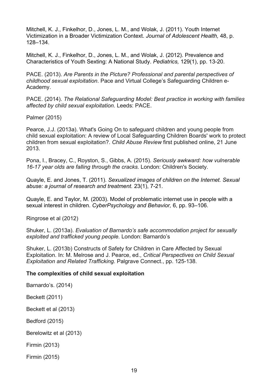Mitchell, K. J., Finkelhor, D., Jones, L. M., and Wolak, J. (2011). Youth Internet Victimization in a Broader Victimization Context. *Journal of Adolescent Health,* 48, p. 128–134.

Mitchell, K. J., Finkelhor, D., Jones, L. M., and Wolak, J. (2012). Prevalence and Characteristics of Youth Sexting: A National Study. *Pediatrics,* 129(1), pp. 13-20.

PACE. (2013). *Are Parents in the Picture? Professional and parental perspectives of childhood sexual exploitation*. Pace and Virtual College's Safeguarding Children e-Academy.

PACE. (2014). *The Relational Safeguarding Model: Best practice in working with families affected by child sexual exploitation.* Leeds: PACE.

Palmer (2015)

Pearce, J.J. (2013a). What's Going On to safeguard children and young people from child sexual exploitation: A review of Local Safeguarding Children Boards' work to protect children from sexual exploitation?. *Child Abuse Review* first published online, 21 June 2013.

Pona, I., Bracey, C., Royston, S., Gibbs, A. (2015). *Seriously awkward: how vulnerable 16-17 year olds are falling through the cracks.* London: Children's Society.

Quayle, E. and Jones, T. (2011). *Sexualized images of children on the Internet. Sexual abuse: a journal of research and treatment.* 23(1), 7-21.

Quayle, E. and Taylor, M. (2003). Model of problematic internet use in people with a sexual interest in children. *CyberPsychology and Behavior,* 6, pp. 93–106.

Ringrose et al (2012)

Shuker, L. (2013a). *Evaluation of Barnardo's safe accommodation project for sexually exploited and trafficked young people.* London: Barnardo's

Shuker, L. (2013b) Constructs of Safety for Children in Care Affected by Sexual Exploitation. In: M. Melrose and J. Pearce, ed., *Critical Perspectives on Child Sexual Exploitation and Related Trafficking.* Palgrave Connect., pp. 125-138.

#### **The complexities of child sexual exploitation**

Barnardo's. (2014)

Beckett (2011)

Beckett et al (2013)

Bedford (2015)

Berelowitz et al (2013)

Firmin (2013)

Firmin (2015)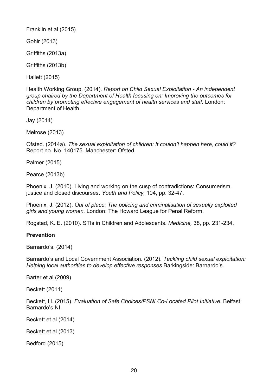Franklin et al (2015)

Gohir (2013)

Griffiths (2013a)

Griffiths (2013b)

Hallett (2015)

Health Working Group. (2014). *Report on Child Sexual Exploitation - An independent group chaired by the Department of Health focusing on: Improving the outcomes for children by promoting effective engagement of health services and staff.* London: Department of Health.

Jay (2014)

Melrose (2013)

Ofsted. (2014a). *The sexual exploitation of children: It couldn't happen here, could it?* Report no. No. 140175. Manchester: Ofsted.

Palmer (2015)

Pearce (2013b)

Phoenix, J. (2010). Living and working on the cusp of contradictions: Consumerism, justice and closed discourses. *Youth and Policy,* 104, pp. 32-47.

Phoenix, J. (2012). *Out of place: The policing and criminalisation of sexually exploited girls and young women.* London: The Howard League for Penal Reform.

Rogstad, K. E. (2010). STIs in Children and Adolescents. *Medicine,* 38, pp. 231-234.

#### **Prevention**

Barnardo's. (2014)

Barnardo's and Local Government Association. (2012). *Tackling child sexual exploitation: Helping local authorities to develop effective responses* Barkingside: Barnardo's.

Barter et al (2009)

Beckett (2011)

Beckett, H. (2015). *Evaluation of Safe Choices/PSNI Co-Located Pilot Initiative.* Belfast: Barnardo's NI.

Beckett et al (2014)

Beckett et al (2013)

Bedford (2015)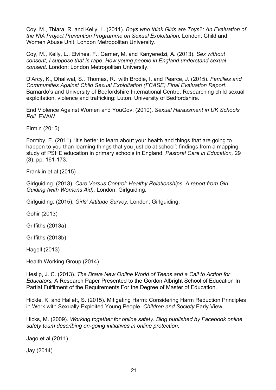Coy, M., Thiara, R. and Kelly, L. (2011). *Boys who think Girls are Toys?: An Evaluation of the NIA Project Prevention Programme on Sexual Exploitation.* London: Child and Women Abuse Unit, London Metropolitan University.

Coy, M., Kelly, L., Elvines, F., Garner, M. and Kanyeredzi, A. (2013). *Sex without consent, I suppose that is rape. How young people in England understand sexual consent.* London: London Metropolitan University.

D'Arcy, K., Dhaliwal, S., Thomas, R., with Brodie, I. and Pearce, J. (2015). *Families and Communities Against Child Sexual Exploitation (FCASE) Final Evaluation Report.* Barnardo's and University of Bedfordshire International Centre: Researching child sexual exploitation, violence and trafficking: Luton: University of Bedfordshire.

End Violence Against Women and YouGov. (2010). *Sexual Harassment in UK Schools*  Poll. EVAW.

Firmin (2015)

Formby, E. (2011). 'It's better to learn about your health and things that are going to happen to you than learning things that you just do at school': findings from a mapping study of PSHE education in primary schools in England. *Pastoral Care in Education,* 29 (3), pp. 161-173.

Franklin et al (2015)

Girlguiding. (2013). *Care Versus Control: Healthy Relationships. A report from Girl Guiding (with Womens Aid).* London: Girlguiding.

Girlguiding. (2015). *Girls' Attitude Survey.* London: Girlguiding.

Gohir (2013)

Griffiths (2013a)

Griffiths (2013b)

Hagell (2013)

Health Working Group (2014)

Heslip, J. C. (2013). *The Brave New Online World of Teens and a Call to Action for Educators.* A Research Paper Presented to the Gordon Albright School of Education In Partial Fulfilment of the Requirements For the Degree of Master of Education.

Hickle, K. and Hallett, S. (2015). Mitigating Harm: Considering Harm Reduction Principles in Work with Sexually Exploited Young People. *Children and Society* Early View.

Hicks, M. (2009). *Working together for online safety. Blog published by Facebook online safety team describing on-going initiatives in online protection*.

Jago et al (2011)

Jay (2014)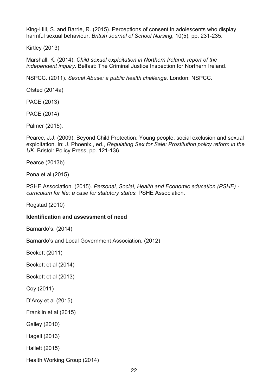King-Hill, S. and Barrie, R. (2015). Perceptions of consent in adolescents who display harmful sexual behaviour. *British Journal of School Nursing*, 10(5), pp. 231-235.

Kirtley (2013)

Marshall, K. (2014). *Child sexual exploitation in Northern Ireland: report of the independent inquiry.* Belfast: The Criminal Justice Inspection for Northern Ireland.

NSPCC. (2011). *Sexual Abuse: a public health challenge.* London: NSPCC.

Ofsted (2014a)

PACE (2013)

PACE (2014)

Palmer (2015).

Pearce, J.J. (2009). Beyond Child Protection: Young people, social exclusion and sexual exploitation. In: J. Phoenix., ed., *Regulating Sex for Sale: Prostitution policy reform in the UK.* Bristol: Policy Press, pp. 121-136.

Pearce (2013b)

Pona et al (2015)

PSHE Association. (2015). *Personal, Social, Health and Economic education (PSHE) curriculum for life: a case for statutory status.* PSHE Association.

Rogstad (2010)

#### **Identification and assessment of need**

Barnardo's. (2014)

Barnardo's and Local Government Association. (2012)

Beckett (2011)

Beckett et al (2014)

Beckett et al (2013)

Coy (2011)

D'Arcy et al (2015)

Franklin et al (2015)

Galley (2010)

Hagell (2013)

Hallett (2015)

Health Working Group (2014)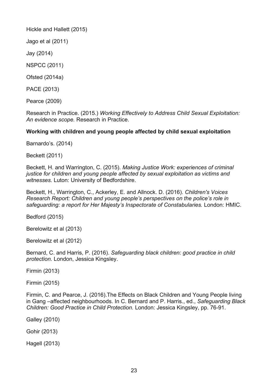Hickle and Hallett (2015)

Jago et al (2011)

Jay (2014)

NSPCC (2011)

Ofsted (2014a)

PACE (2013)

Pearce (2009)

Research in Practice. (2015.) *Working Effectively to Address Child Sexual Exploitation: An evidence scope.* Research in Practice.

#### **Working with children and young people affected by child sexual exploitation**

Barnardo's. (2014)

Beckett (2011)

Beckett, H. and Warrington, C. (2015). *Making Justice Work: experiences of criminal justice for children and young people affected by sexual exploitation as victims and witnesses.* Luton: University of Bedfordshire.

Beckett, H., Warrington, C., Ackerley, E. and Allnock. D. (2016). *Children's Voices Research Report: Children and young people's perspectives on the police's role in safeguarding: a report for Her Majesty's Inspectorate of Constabularies.* London: HMIC.

Bedford (2015)

Berelowitz et al (2013)

Berelowitz et al (2012)

Bernard, C. and Harris, P. (2016). *Safeguarding black children: good practice in child protection*. London, Jessica Kingsley.

Firmin (2013)

Firmin (2015)

Firmin, C. and Pearce, J. (2016).The Effects on Black Children and Young People living in Gang –affected neighbourhoods. In C. Bernard and P. Harris., ed., *Safeguarding Black Children: Good Practice in Child Protection.* London: Jessica Kingsley, pp. 76-91.

Galley (2010)

Gohir (2013)

Hagell (2013)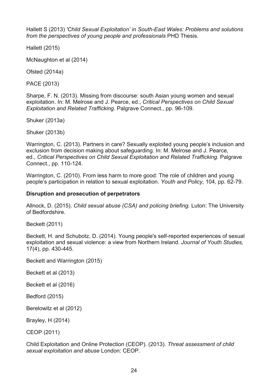Hallett S (2013) *'Child Sexual Exploitation' in South-East Wales: Problems and solutions from the perspectives of young people and professionals* PHD Thesis.

Hallett (2015)

McNaughton et al (2014)

Ofsted (2014a)

PACE (2013)

Sharpe, F. N. (2013). Missing from discourse: south Asian young women and sexual exploitation. In: M. Melrose and J. Pearce, ed., *Critical Perspectives on Child Sexual Exploitation and Related Trafficking.* Palgrave Connect., pp. 96-109.

Shuker (2013a)

Shuker (2013b)

Warrington, C. (2013). Partners in care? Sexually exploited young people's inclusion and exclusion from decision making about safeguarding. In: M. Melrose and J. Pearce, ed., *Critical Perspectives on Child Sexual Exploitation and Related Trafficking.* Palgrave Connect., pp. 110-124.

Warrington, C. (2010). From less harm to more good: The role of children and young people's participation in relation to sexual exploitation. *Youth and Policy,* 104, pp. 62-79.

#### **Disruption and prosecution of perpetrators**

Allnock, D. (2015). *Child sexual abuse (CSA) and policing briefing.* Luton: The University of Bedfordshire.

Beckett (2011)

Beckett, H. and Schubotz, D. (2014). Young people's self-reported experiences of sexual exploitation and sexual violence: a view from Northern Ireland. *Journal of Youth Studies,*  17(4), pp. 430-445.

Beckett and Warrington (2015)

Beckett et al (2013)

Beckett et al (2016)

Bedford (2015)

Berelowitz et al (2012)

Brayley, H (2014)

CEOP (2011)

Child Exploitation and Online Protection (CEOP). (2013). *Threat assessment of child sexual exploitation and abuse* London: CEOP.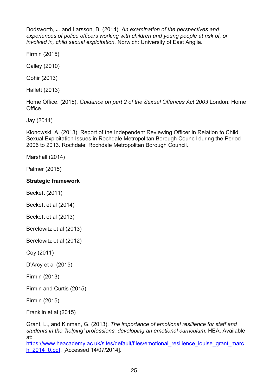Dodsworth, J. and Larsson, B. (2014). *An examination of the perspectives and experiences of police officers working with children and young people at risk of, or involved in, child sexual exploitation.* Norwich: University of East Anglia.

Firmin (2015)

Galley (2010)

Gohir (2013)

Hallett (2013)

Home Office. (2015). *Guidance on part 2 of the Sexual Offences Act 2003* London: Home Office.

Jay (2014)

Klonowski, A. (2013). Report of the Independent Reviewing Officer in Relation to Child Sexual Exploitation Issues in Rochdale Metropolitan Borough Council during the Period 2006 to 2013. Rochdale: Rochdale Metropolitan Borough Council.

Marshall (2014)

Palmer (2015)

#### **Strategic framework**

Beckett (2011)

Beckett et al (2014)

Beckett et al (2013)

Berelowitz et al (2013)

Berelowitz et al (2012)

Coy (2011)

D'Arcy et al (2015)

Firmin (2013)

Firmin and Curtis (2015)

Firmin (2015)

Franklin et al (2015)

Grant, L., and Kinman, G. (2013). *The importance of emotional resilience for staff and students in the 'helping' professions: developing an emotional curriculum*, HEA. Available at:

https://www.heacademy.ac.uk/sites/default/files/emotional\_resilience\_louise\_grant\_marc h\_2014\_0.pdf. [Accessed 14/07/2014].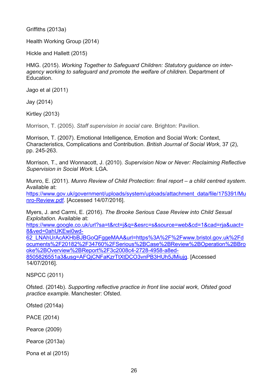Griffiths (2013a)

Health Working Group (2014)

Hickle and Hallett (2015)

HMG. (2015). *Working Together to Safeguard Children: Statutory guidance on interagency working to safeguard and promote the welfare of children*. Department of Education.

Jago et al (2011)

Jay (2014)

Kirtley (2013)

Morrison, T. (2005). *Staff supervision in social care*. Brighton: Pavilion.

Morrison, T. (2007). Emotional Intelligence, Emotion and Social Work: Context, Characteristics, Complications and Contribution. *British Journal of Social Work*, 37 (2), pp. 245-263.

Morrison, T., and Wonnacott, J. (2010). *Supervision Now or Never: Reclaiming Reflective Supervision in Social Work.* LGA.

Munro, E. (2011). *Munro Review of Child Protection: final report – a child centred system*. Available at:

[https://www.gov.uk/government/uploads/system/uploads/attachment\\_data/file/175391/Mu](https://www.gov.uk/government/uploads/system/uploads/attachment_data/file/175391/Munro-Review.pdf) [nro-Review.pdf.](https://www.gov.uk/government/uploads/system/uploads/attachment_data/file/175391/Munro-Review.pdf) [Accessed 14/07/2016].

Myers, J. and Carmi, E. (2016). *The Brooke Serious Case Review into Child Sexual Exploitation.* Available at:

[https://www.google.co.uk/url?sa=t&rct=j&q=&esrc=s&source=web&cd=1&cad=rja&uact=](https://www.google.co.uk/url?sa=t&rct=j&q=&esrc=s&source=web&cd=1&cad=rja&uact=8&ved=0ahUKEwi0wd-62_LNAhUrAcAKHbBJBGoQFggeMAA&url=https%3A%2F%2Fwww.bristol.gov.uk%2Fdocuments%2F20182%2F34760%2FSerious%2BCase%2BReview%2BOperation%2BBrooke%2BOverview%2BReport%2F3c2008c4-2728-4958-a8ed-8505826551a3&usg=AFQjCNFaKzrTtXtDCO3vnPB3HUh5JMiujg) [8&ved=0ahUKEwi0wd-](https://www.google.co.uk/url?sa=t&rct=j&q=&esrc=s&source=web&cd=1&cad=rja&uact=8&ved=0ahUKEwi0wd-62_LNAhUrAcAKHbBJBGoQFggeMAA&url=https%3A%2F%2Fwww.bristol.gov.uk%2Fdocuments%2F20182%2F34760%2FSerious%2BCase%2BReview%2BOperation%2BBrooke%2BOverview%2BReport%2F3c2008c4-2728-4958-a8ed-8505826551a3&usg=AFQjCNFaKzrTtXtDCO3vnPB3HUh5JMiujg)

[62\\_LNAhUrAcAKHbBJBGoQFggeMAA&url=https%3A%2F%2Fwww.bristol.gov.uk%2Fd](https://www.google.co.uk/url?sa=t&rct=j&q=&esrc=s&source=web&cd=1&cad=rja&uact=8&ved=0ahUKEwi0wd-62_LNAhUrAcAKHbBJBGoQFggeMAA&url=https%3A%2F%2Fwww.bristol.gov.uk%2Fdocuments%2F20182%2F34760%2FSerious%2BCase%2BReview%2BOperation%2BBrooke%2BOverview%2BReport%2F3c2008c4-2728-4958-a8ed-8505826551a3&usg=AFQjCNFaKzrTtXtDCO3vnPB3HUh5JMiujg) [ocuments%2F20182%2F34760%2FSerious%2BCase%2BReview%2BOperation%2BBro](https://www.google.co.uk/url?sa=t&rct=j&q=&esrc=s&source=web&cd=1&cad=rja&uact=8&ved=0ahUKEwi0wd-62_LNAhUrAcAKHbBJBGoQFggeMAA&url=https%3A%2F%2Fwww.bristol.gov.uk%2Fdocuments%2F20182%2F34760%2FSerious%2BCase%2BReview%2BOperation%2BBrooke%2BOverview%2BReport%2F3c2008c4-2728-4958-a8ed-8505826551a3&usg=AFQjCNFaKzrTtXtDCO3vnPB3HUh5JMiujg) [oke%2BOverview%2BReport%2F3c2008c4-2728-4958-a8ed-](https://www.google.co.uk/url?sa=t&rct=j&q=&esrc=s&source=web&cd=1&cad=rja&uact=8&ved=0ahUKEwi0wd-62_LNAhUrAcAKHbBJBGoQFggeMAA&url=https%3A%2F%2Fwww.bristol.gov.uk%2Fdocuments%2F20182%2F34760%2FSerious%2BCase%2BReview%2BOperation%2BBrooke%2BOverview%2BReport%2F3c2008c4-2728-4958-a8ed-8505826551a3&usg=AFQjCNFaKzrTtXtDCO3vnPB3HUh5JMiujg)[8505826551a3&usg=AFQjCNFaKzrTtXtDCO3vnPB3HUh5JMiujg.](https://www.google.co.uk/url?sa=t&rct=j&q=&esrc=s&source=web&cd=1&cad=rja&uact=8&ved=0ahUKEwi0wd-62_LNAhUrAcAKHbBJBGoQFggeMAA&url=https%3A%2F%2Fwww.bristol.gov.uk%2Fdocuments%2F20182%2F34760%2FSerious%2BCase%2BReview%2BOperation%2BBrooke%2BOverview%2BReport%2F3c2008c4-2728-4958-a8ed-8505826551a3&usg=AFQjCNFaKzrTtXtDCO3vnPB3HUh5JMiujg) [Accessed 14/07/2016].

NSPCC (2011)

Ofsted. (2014b). *Supporting reflective practice in front line social work, Ofsted good practice example.* Manchester: Ofsted.

Ofsted (2014a)

PACE (2014)

Pearce (2009)

Pearce (2013a)

Pona et al (2015)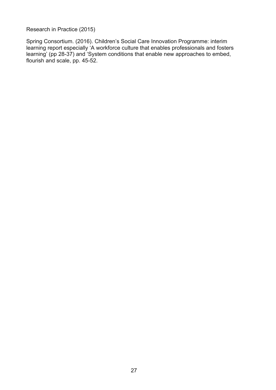Research in Practice (2015)

Spring Consortium. (2016). Children's Social Care Innovation Programme: interim learning report especially 'A workforce culture that enables professionals and fosters learning' (pp 28-37) and 'System conditions that enable new approaches to embed, flourish and scale, pp. 45-52.